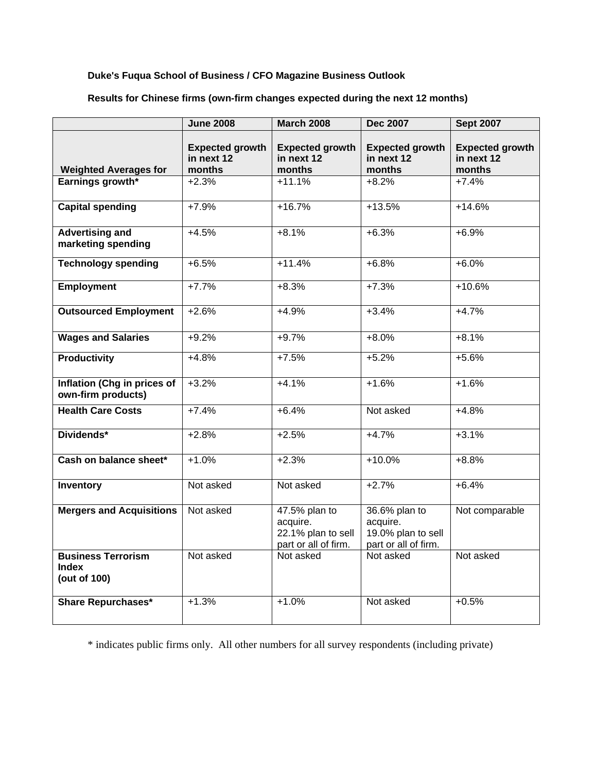## **Duke's Fuqua School of Business / CFO Magazine Business Outlook**

|                                                           | <b>June 2008</b>                               | <b>March 2008</b>                                                       | <b>Dec 2007</b>                                                         | <b>Sept 2007</b>                               |
|-----------------------------------------------------------|------------------------------------------------|-------------------------------------------------------------------------|-------------------------------------------------------------------------|------------------------------------------------|
| <b>Weighted Averages for</b>                              | <b>Expected growth</b><br>in next 12<br>months | <b>Expected growth</b><br>in next 12<br>months                          | <b>Expected growth</b><br>in next 12<br>months                          | <b>Expected growth</b><br>in next 12<br>months |
| Earnings growth*                                          | $+2.3%$                                        | $+11.1%$                                                                | $+8.\overline{2\%}$                                                     | $+7.4%$                                        |
|                                                           |                                                |                                                                         |                                                                         |                                                |
| <b>Capital spending</b>                                   | $+7.9%$                                        | $+16.7%$                                                                | $+13.5%$                                                                | $+14.6%$                                       |
| <b>Advertising and</b><br>marketing spending              | $+4.5%$                                        | $+8.1%$                                                                 | $+6.3%$                                                                 | $+6.9%$                                        |
| <b>Technology spending</b>                                | $+6.5%$                                        | $+11.4%$                                                                | $+6.8%$                                                                 | $+6.0%$                                        |
| <b>Employment</b>                                         | $+7.7%$                                        | $+8.3%$                                                                 | $+7.3%$                                                                 | $+10.6%$                                       |
| <b>Outsourced Employment</b>                              | $+2.6%$                                        | $+4.9%$                                                                 | $+3.4%$                                                                 | $+4.7%$                                        |
| <b>Wages and Salaries</b>                                 | $+9.2%$                                        | $+9.7%$                                                                 | $+8.0\%$                                                                | $+8.1%$                                        |
| <b>Productivity</b>                                       | $+4.8%$                                        | $+7.5%$                                                                 | $+5.2%$                                                                 | $+5.6%$                                        |
| Inflation (Chg in prices of<br>own-firm products)         | $+3.2%$                                        | $+4.1%$                                                                 | $+1.6%$                                                                 | $+1.6%$                                        |
| <b>Health Care Costs</b>                                  | $+7.4%$                                        | $+6.4%$                                                                 | Not asked                                                               | $+4.8%$                                        |
| Dividends*                                                | $+2.8%$                                        | $+2.5%$                                                                 | $+4.7%$                                                                 | $+3.1%$                                        |
| Cash on balance sheet*                                    | $+1.0%$                                        | $+2.3%$                                                                 | $+10.0%$                                                                | $+8.8%$                                        |
| Inventory                                                 | Not asked                                      | Not asked                                                               | $+2.7%$                                                                 | $+6.4%$                                        |
| <b>Mergers and Acquisitions</b>                           | Not asked                                      | 47.5% plan to<br>acquire.<br>22.1% plan to sell<br>part or all of firm. | 36.6% plan to<br>acquire.<br>19.0% plan to sell<br>part or all of firm. | Not comparable                                 |
| <b>Business Terrorism</b><br><b>Index</b><br>(out of 100) | Not asked                                      | Not asked                                                               | Not asked                                                               | Not asked                                      |
| <b>Share Repurchases*</b>                                 | $+1.3%$                                        | $+1.0%$                                                                 | Not asked                                                               | $+0.5%$                                        |

**Results for Chinese firms (own-firm changes expected during the next 12 months)** 

\* indicates public firms only. All other numbers for all survey respondents (including private)